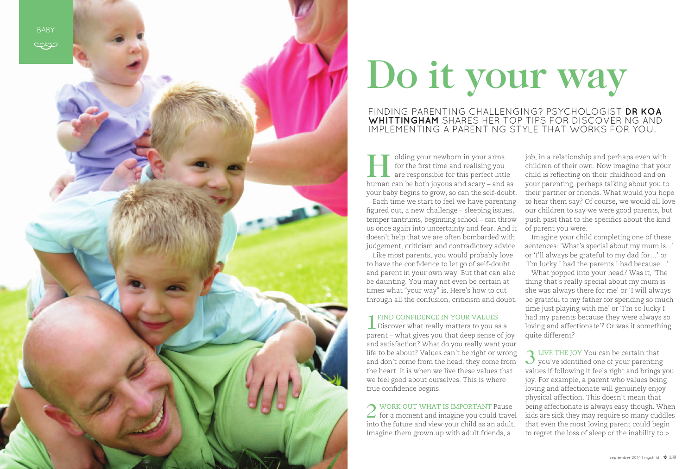

# Do it your way

### FINDING PARENTING CHALLENGING? PSYCHOLOGIST DR KOA **Whittingham** sh ares her top tips for discovering and IMPLEMENTING A PARENTING STYLE THAT WORKS FOR YOU.

II olding your newborn in your arms<br>for the first time and realising you<br>are responsible for this perfect little<br>human can be bath is veue and seary and for the first time and realising you are responsible for this perfect little human can be both joyous and scary – and as your baby begins to grow, so can the self-doubt.

Each time we start to feel we have parenting figured out, a new challenge – sleeping issues, temper tantrums, beginning school – can throw us once again into uncertainty and fear. And it doesn't help that we are often bombarded with judgement, criticism and contradictory advice.

2 WORK OUT WHAT IS IMPORTANT Pause<br>
for a moment and imagine you could travel into the future and view your child as an adult. Imagine them grown up with adult friends, a



Like most parents, you would probably love to have the confidence to let go of self-doubt and parent in your own way. But that can also be daunting. You may not even be certain at times what "your way" is. Here's how to cut through all the confusion, criticism and doubt.

1Find confidence in your values Discover what really matters to you as a parent – what gives you that deep sense of joy and satisfaction? What do you really want your life to be about? Values can't be right or wrong and don't come from the head: they come from the heart. It is when we live these values that we feel good about ourselves. This is where true confidence begins.

3 LIVE THE JOY You can be certain that you've identified one of your parenting values if following it feels right and brings you joy. For example, a parent who values being loving and affectionate will genuinely enjoy physical affection. This doesn't mean that being affectionate is always easy though. When kids are sick they may require so many cuddles that even the most loving parent could begin to regret the loss of sleep or the inability to >

job, in a relationship and perhaps even with children of their own. Now imagine that your child is reflecting on their childhood and on your parenting, perhaps talking about you to their partner or friends. What would you hope to hear them say? Of course, we would all love our children to say we were good parents, but push past that to the specifics about the kind of parent you were.

Imagine your child completing one of these sentences: 'What's special about my mum is...' or 'I'll always be grateful to my dad for…' or 'I'm lucky I had the parents I had because…'.

What popped into your head? Was it, 'The thing that's really special about my mum is she was always there for me' or 'I will always be grateful to my father for spending so much time just playing with me' or 'I'm so lucky I had my parents because they were always so loving and affectionate'? Or was it something quite different?